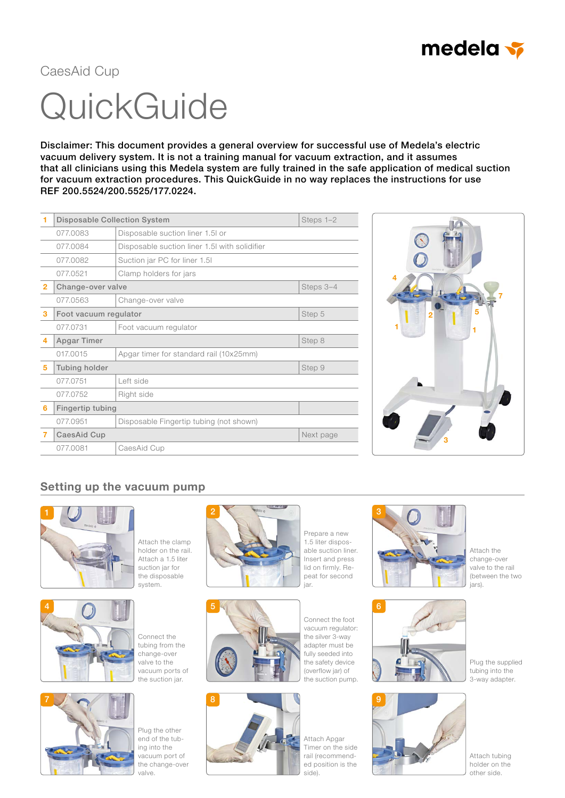

# **QuickGuide** CaesAid Cup

Disclaimer: This document provides a general overview for successful use of Medela's electric vacuum delivery system. It is not a training manual for vacuum extraction, and it assumes that all clinicians using this Medela system are fully trained in the safe application of medical suction for vacuum extraction procedures. This QuickGuide in no way replaces the instructions for use REF 200.5524/200.5525/177.0224.

|                | <b>Disposable Collection System</b> | Steps 1-2                                     |           |
|----------------|-------------------------------------|-----------------------------------------------|-----------|
|                | 077.0083                            | Disposable suction liner 1.5 or               |           |
|                | 077.0084                            | Disposable suction liner 1.5I with solidifier |           |
|                | 077.0082                            | Suction jar PC for liner 1.5I                 |           |
|                | 077.0521                            | Clamp holders for jars                        |           |
| $\overline{2}$ | Change-over valve                   |                                               | Steps 3-4 |
|                | 077.0563                            | Change-over valve                             |           |
| 3              | Foot vacuum regulator               |                                               | Step 5    |
|                | 077.0731                            | Foot vacuum regulator                         |           |
| 4              | Apgar Timer                         |                                               | Step 8    |
|                | 017.0015                            | Apgar timer for standard rail (10x25mm)       |           |
| 5              | Tubing holder                       |                                               | Step 9    |
|                | 077.0751                            | Left side                                     |           |
|                | 077.0752                            | Right side                                    |           |
| 6              | Fingertip tubing                    |                                               |           |
|                | 077.0951                            | Disposable Fingertip tubing (not shown)       |           |
| 7              | CaesAid Cup                         |                                               | Next page |
|                | 077.0081                            | CaesAid Cup                                   |           |



# Setting up the vacuum pump



4

Attach the clamp holder on the rail. Attach a 1.5 liter suction jar for the disposable system.



Connect the tubing from the change-over valve to the vacuum ports of the suction jar.

7

Plug the other end of the tubing into the vacuum port of the change-over valve.



Prepare a new 1.5 liter disposable suction liner. Insert and press lid on firmly. Repeat for second .<br>iar.



Connect the foot vacuum regulator: the silver 3-way adapter must be fully seeded into the safety device (overflow jar) of



the suction pump.



Attach Apgar Timer on the side rail (recommended position is the



Attach the change-over valve to the rail (between the two .<br>iars).



Plug the supplied tubing into the 3-way adapter.



Attach tubing holder on the other side.